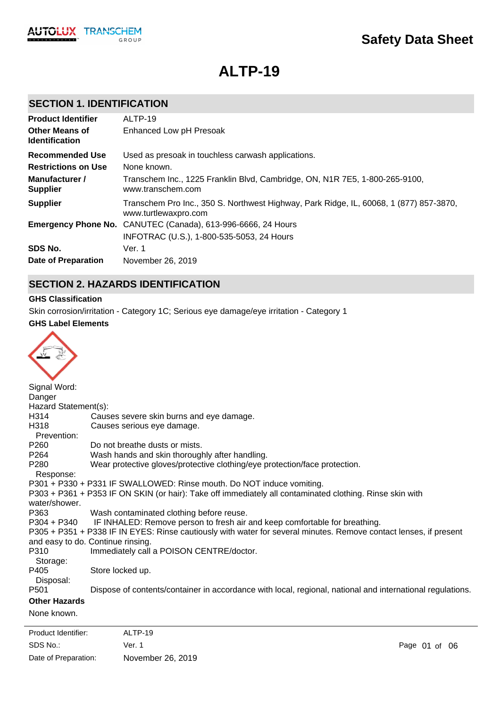

# **ALTP-19**

### **SECTION 1. IDENTIFICATION**

| <b>Product Identifier</b>                      | ALTP-19                                                                                                        |
|------------------------------------------------|----------------------------------------------------------------------------------------------------------------|
| <b>Other Means of</b><br><b>Identification</b> | Enhanced Low pH Presoak                                                                                        |
| <b>Recommended Use</b>                         | Used as presoak in touchless carwash applications.                                                             |
| <b>Restrictions on Use</b>                     | None known.                                                                                                    |
| Manufacturer /<br><b>Supplier</b>              | Transchem Inc., 1225 Franklin Blvd, Cambridge, ON, N1R 7E5, 1-800-265-9100,<br>www.transchem.com               |
| <b>Supplier</b>                                | Transchem Pro Inc., 350 S. Northwest Highway, Park Ridge, IL, 60068, 1 (877) 857-3870,<br>www.turtlewaxpro.com |
|                                                | <b>Emergency Phone No.</b> CANUTEC (Canada), 613-996-6666, 24 Hours                                            |
|                                                | INFOTRAC (U.S.), 1-800-535-5053, 24 Hours                                                                      |
| SDS No.                                        | Ver. 1                                                                                                         |
| Date of Preparation                            | November 26, 2019                                                                                              |

### **SECTION 2. HAZARDS IDENTIFICATION**

#### **GHS Classification**

Skin corrosion/irritation - Category 1C; Serious eye damage/eye irritation - Category 1

#### **GHS Label Elements**

| Signal Word:                  |                                                                                                                   |
|-------------------------------|-------------------------------------------------------------------------------------------------------------------|
| Danger                        |                                                                                                                   |
| Hazard Statement(s):          |                                                                                                                   |
| H <sub>3</sub> 14             | Causes severe skin burns and eye damage.                                                                          |
| H318                          | Causes serious eye damage.                                                                                        |
| Prevention:                   |                                                                                                                   |
| P <sub>260</sub>              | Do not breathe dusts or mists.                                                                                    |
| P <sub>264</sub>              | Wash hands and skin thoroughly after handling.                                                                    |
| P <sub>280</sub>              | Wear protective gloves/protective clothing/eye protection/face protection.                                        |
| Response:                     |                                                                                                                   |
|                               | P301 + P330 + P331 IF SWALLOWED: Rinse mouth. Do NOT induce vomiting.                                             |
|                               | P303 + P361 + P353 IF ON SKIN (or hair): Take off immediately all contaminated clothing. Rinse skin with          |
| water/shower.                 |                                                                                                                   |
| P363                          | Wash contaminated clothing before reuse.                                                                          |
| $P304 + P340$                 | IF INHALED: Remove person to fresh air and keep comfortable for breathing.                                        |
|                               | P305 + P351 + P338 IF IN EYES: Rinse cautiously with water for several minutes. Remove contact lenses, if present |
|                               | and easy to do. Continue rinsing.                                                                                 |
| P310                          | Immediately call a POISON CENTRE/doctor.                                                                          |
| Storage:<br>P405              |                                                                                                                   |
|                               | Store locked up.                                                                                                  |
| Disposal:<br>P <sub>501</sub> | Dispose of contents/container in accordance with local, regional, national and international regulations.         |
|                               |                                                                                                                   |
| <b>Other Hazards</b>          |                                                                                                                   |
| None known.                   |                                                                                                                   |
|                               |                                                                                                                   |

SDS No.: Date of Preparation: Ver. 1 Page 01 of 06 November 26, 2019 Product Identifier: ALTP-19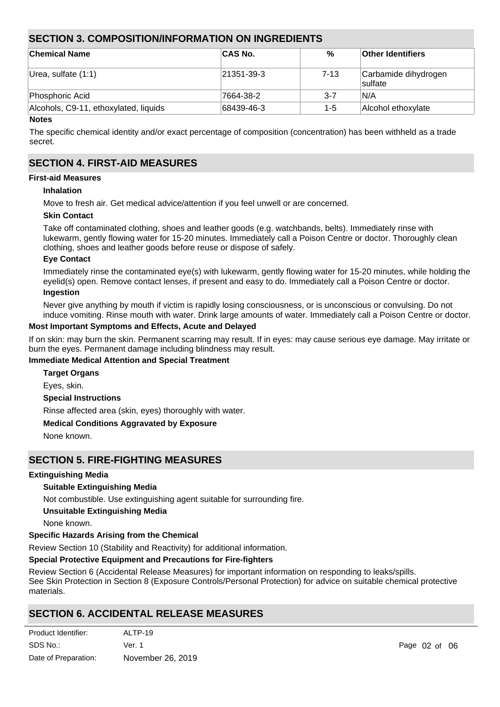### **SECTION 3. COMPOSITION/INFORMATION ON INGREDIENTS**

| ∣Chemical Name                        | <b>CAS No.</b> | %        | <b>Other Identifiers</b>        |
|---------------------------------------|----------------|----------|---------------------------------|
| Urea, sulfate (1:1)                   | 21351-39-3     | $7 - 13$ | Carbamide dihydrogen<br>sulfate |
| Phosphoric Acid                       | 7664-38-2      | $3 - 7$  | IN/A                            |
| Alcohols, C9-11, ethoxylated, liquids | 68439-46-3     | 1-5      | Alcohol ethoxylate              |

#### **Notes**

The specific chemical identity and/or exact percentage of composition (concentration) has been withheld as a trade secret.

### **SECTION 4. FIRST-AID MEASURES**

#### **First-aid Measures**

#### **Inhalation**

Move to fresh air. Get medical advice/attention if you feel unwell or are concerned.

#### **Skin Contact**

Take off contaminated clothing, shoes and leather goods (e.g. watchbands, belts). Immediately rinse with lukewarm, gently flowing water for 15-20 minutes. Immediately call a Poison Centre or doctor. Thoroughly clean clothing, shoes and leather goods before reuse or dispose of safely.

#### **Eye Contact**

Immediately rinse the contaminated eye(s) with lukewarm, gently flowing water for 15-20 minutes, while holding the eyelid(s) open. Remove contact lenses, if present and easy to do. Immediately call a Poison Centre or doctor. **Ingestion**

Never give anything by mouth if victim is rapidly losing consciousness, or is unconscious or convulsing. Do not induce vomiting. Rinse mouth with water. Drink large amounts of water. Immediately call a Poison Centre or doctor.

#### **Most Important Symptoms and Effects, Acute and Delayed**

If on skin: may burn the skin. Permanent scarring may result. If in eyes: may cause serious eye damage. May irritate or burn the eyes. Permanent damage including blindness may result.

#### **Immediate Medical Attention and Special Treatment**

**Special Instructions** Rinse affected area (skin, eyes) thoroughly with water. **Medical Conditions Aggravated by Exposure Target Organs** Eyes, skin.

None known.

### **SECTION 5. FIRE-FIGHTING MEASURES**

#### **Extinguishing Media**

#### **Suitable Extinguishing Media**

Not combustible. Use extinguishing agent suitable for surrounding fire.

**Unsuitable Extinguishing Media**

None known.

#### **Specific Hazards Arising from the Chemical**

Review Section 10 (Stability and Reactivity) for additional information.

#### **Special Protective Equipment and Precautions for Fire-fighters**

Review Section 6 (Accidental Release Measures) for important information on responding to leaks/spills. See Skin Protection in Section 8 (Exposure Controls/Personal Protection) for advice on suitable chemical protective materials.

### **SECTION 6. ACCIDENTAL RELEASE MEASURES**

| Product Identifier:  | ALTP-19           |
|----------------------|-------------------|
| SDS No.:             | Ver. 1            |
| Date of Preparation: | November 26, 2019 |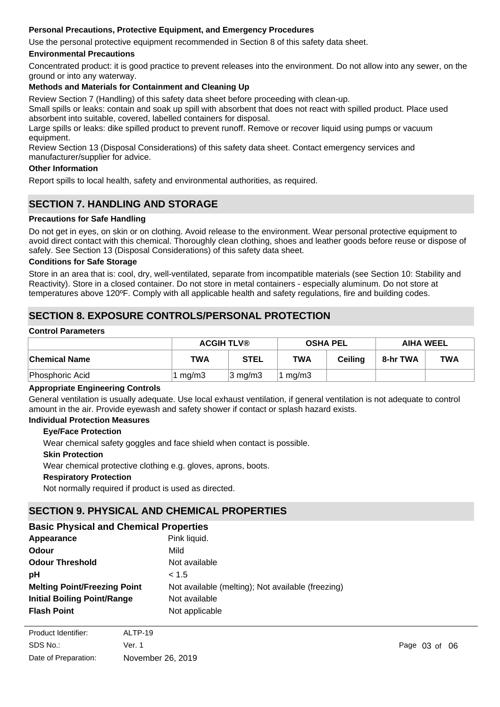### **Personal Precautions, Protective Equipment, and Emergency Procedures**

Use the personal protective equipment recommended in Section 8 of this safety data sheet.

#### **Environmental Precautions**

Concentrated product: it is good practice to prevent releases into the environment. Do not allow into any sewer, on the ground or into any waterway.

#### **Methods and Materials for Containment and Cleaning Up**

Review Section 7 (Handling) of this safety data sheet before proceeding with clean-up.

Small spills or leaks: contain and soak up spill with absorbent that does not react with spilled product. Place used absorbent into suitable, covered, labelled containers for disposal.

Large spills or leaks: dike spilled product to prevent runoff. Remove or recover liquid using pumps or vacuum equipment.

Review Section 13 (Disposal Considerations) of this safety data sheet. Contact emergency services and manufacturer/supplier for advice.

#### **Other Information**

Report spills to local health, safety and environmental authorities, as required.

### **SECTION 7. HANDLING AND STORAGE**

#### **Precautions for Safe Handling**

Do not get in eyes, on skin or on clothing. Avoid release to the environment. Wear personal protective equipment to avoid direct contact with this chemical. Thoroughly clean clothing, shoes and leather goods before reuse or dispose of safely. See Section 13 (Disposal Considerations) of this safety data sheet.

#### **Conditions for Safe Storage**

Store in an area that is: cool, dry, well-ventilated, separate from incompatible materials (see Section 10: Stability and Reactivity). Store in a closed container. Do not store in metal containers - especially aluminum. Do not store at temperatures above 120ºF. Comply with all applicable health and safety regulations, fire and building codes.

### **SECTION 8. EXPOSURE CONTROLS/PERSONAL PROTECTION**

#### **Control Parameters**

|                 | <b>ACGIH TLV®</b> |                   | <b>OSHA PEL</b> |         | <b>AIHA WEEL</b> |     |
|-----------------|-------------------|-------------------|-----------------|---------|------------------|-----|
| ∣Chemical Name  | <b>TWA</b>        | <b>STEL</b>       | <b>TWA</b>      | Ceiling | 8-hr TWA         | TWA |
| Phosphoric Acid | 1 $mg/m3$         | $ 3 \text{ mg/m}$ | mg/m3           |         |                  |     |

#### **Appropriate Engineering Controls**

General ventilation is usually adequate. Use local exhaust ventilation, if general ventilation is not adequate to control amount in the air. Provide eyewash and safety shower if contact or splash hazard exists.

#### **Individual Protection Measures**

#### **Eye/Face Protection**

Wear chemical safety goggles and face shield when contact is possible.

#### **Skin Protection**

Wear chemical protective clothing e.g. gloves, aprons, boots.

#### **Respiratory Protection**

Not normally required if product is used as directed.

### **SECTION 9. PHYSICAL AND CHEMICAL PROPERTIES**

### **Basic Physical and Chemical Properties**

| Appearance                          | Pink liquid.                                      |
|-------------------------------------|---------------------------------------------------|
| Odour                               | Mild                                              |
| <b>Odour Threshold</b>              | Not available                                     |
| рH                                  | < 1.5                                             |
| <b>Melting Point/Freezing Point</b> | Not available (melting); Not available (freezing) |
| <b>Initial Boiling Point/Range</b>  | Not available                                     |
| <b>Flash Point</b>                  | Not applicable                                    |
|                                     |                                                   |

| Product Identifier:  | ALTP-19           |
|----------------------|-------------------|
| SDS No.:             | Ver. 1            |
| Date of Preparation: | November 26, 2019 |

**Evaporation Rate** Not available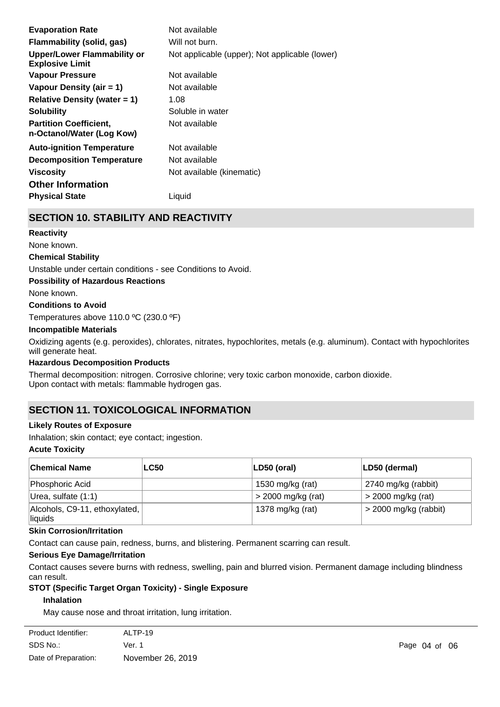| <b>Evaporation Rate</b>                                    | Not available                                  |
|------------------------------------------------------------|------------------------------------------------|
| Flammability (solid, gas)                                  | Will not burn.                                 |
| Upper/Lower Flammability or<br><b>Explosive Limit</b>      | Not applicable (upper); Not applicable (lower) |
| <b>Vapour Pressure</b>                                     | Not available                                  |
| Vapour Density (air $= 1$ )                                | Not available                                  |
| Relative Density (water $= 1$ )                            | 1.08                                           |
| <b>Solubility</b>                                          | Soluble in water                               |
| <b>Partition Coefficient,</b><br>n-Octanol/Water (Log Kow) | Not available                                  |
| <b>Auto-ignition Temperature</b>                           | Not available                                  |
| <b>Decomposition Temperature</b>                           | Not available                                  |
| <b>Viscosity</b>                                           | Not available (kinematic)                      |
| <b>Other Information</b>                                   |                                                |
| <b>Physical State</b>                                      | Liquid                                         |

### **SECTION 10. STABILITY AND REACTIVITY**

#### **Reactivity**

None known.

#### **Chemical Stability**

Unstable under certain conditions - see Conditions to Avoid.

#### **Possibility of Hazardous Reactions**

None known.

#### **Conditions to Avoid**

Temperatures above 110.0 ºC (230.0 ºF)

#### **Incompatible Materials**

Oxidizing agents (e.g. peroxides), chlorates, nitrates, hypochlorites, metals (e.g. aluminum). Contact with hypochlorites will generate heat.

#### **Hazardous Decomposition Products**

Thermal decomposition: nitrogen. Corrosive chlorine; very toxic carbon monoxide, carbon dioxide. Upon contact with metals: flammable hydrogen gas.

### **SECTION 11. TOXICOLOGICAL INFORMATION**

#### **Likely Routes of Exposure**

Inhalation; skin contact; eye contact; ingestion.

#### **Acute Toxicity**

| ∣Chemical Name                           | <b>LC50</b> | $ LD50$ (oral)       | LD50 (dermal)           |
|------------------------------------------|-------------|----------------------|-------------------------|
| Phosphoric Acid                          |             | 1530 mg/kg (rat)     | 2740 mg/kg (rabbit)     |
| Urea, sulfate (1:1)                      |             | $>$ 2000 mg/kg (rat) | $>$ 2000 mg/kg (rat)    |
| Alcohols, C9-11, ethoxylated,<br>liquids |             | 1378 mg/kg (rat)     | $>$ 2000 mg/kg (rabbit) |

#### **Skin Corrosion/Irritation**

Contact can cause pain, redness, burns, and blistering. Permanent scarring can result.

#### **Serious Eye Damage/Irritation**

Contact causes severe burns with redness, swelling, pain and blurred vision. Permanent damage including blindness can result.

## **STOT (Specific Target Organ Toxicity) - Single Exposure**

### **Inhalation**

May cause nose and throat irritation, lung irritation.

| Product Identifier:  | ALTP-19           |
|----------------------|-------------------|
| SDS No.:             | Ver. 1            |
| Date of Preparation: | November 26, 2019 |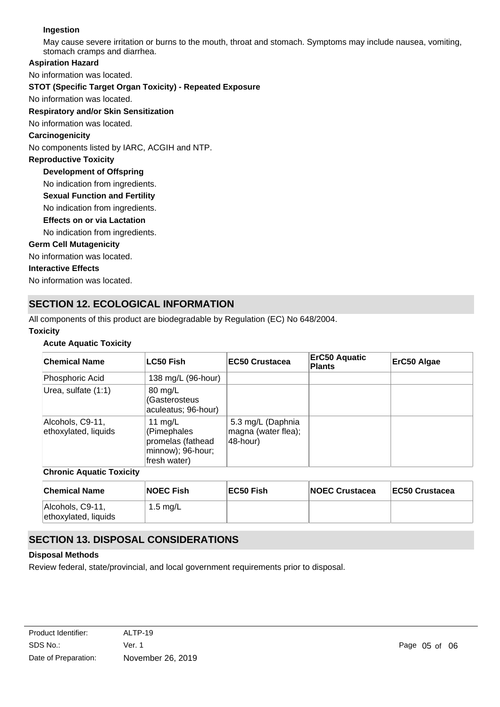### **Ingestion**

May cause severe irritation or burns to the mouth, throat and stomach. Symptoms may include nausea, vomiting, stomach cramps and diarrhea.

#### **Aspiration Hazard**

No information was located.

#### **STOT (Specific Target Organ Toxicity) - Repeated Exposure**

No information was located.

#### **Respiratory and/or Skin Sensitization**

No information was located.

#### **Carcinogenicity**

No components listed by IARC, ACGIH and NTP.

#### **Reproductive Toxicity**

**Development of Offspring**

No indication from ingredients.

**Sexual Function and Fertility**

No indication from ingredients.

#### **Effects on or via Lactation**

No indication from ingredients.

#### **Germ Cell Mutagenicity**

No information was located.

#### **Interactive Effects**

No information was located.

### **SECTION 12. ECOLOGICAL INFORMATION**

All components of this product are biodegradable by Regulation (EC) No 648/2004.

#### **Toxicity**

#### **Acute Aquatic Toxicity**

| <b>Chemical Name</b>                     | <b>LC50 Fish</b>                                                                   | <b>EC50 Crustacea</b>                                | <b>ErC50 Aquatic</b><br><b>Plants</b> | ErC50 Algae |
|------------------------------------------|------------------------------------------------------------------------------------|------------------------------------------------------|---------------------------------------|-------------|
| Phosphoric Acid                          | 138 mg/L (96-hour)                                                                 |                                                      |                                       |             |
| Urea, sulfate (1:1)                      | 80 mg/L<br>(Gasterosteus<br>aculeatus; 96-hour)                                    |                                                      |                                       |             |
| Alcohols, C9-11,<br>ethoxylated, liquids | 11 $mg/L$<br>(Pimephales<br>promelas (fathead<br>minnow); 96-hour;<br>fresh water) | 5.3 mg/L (Daphnia<br>magna (water flea);<br>48-hour) |                                       |             |

#### **Chronic Aquatic Toxicity**

| <b>Chemical Name</b>                     | <b>NOEC Fish</b> | EC50 Fish | <b>NOEC Crustacea</b> | <b>EC50 Crustacea</b> |
|------------------------------------------|------------------|-----------|-----------------------|-----------------------|
| Alcohols, C9-11,<br>ethoxylated, liquids | 1.5 mg/L         |           |                       |                       |

### **SECTION 13. DISPOSAL CONSIDERATIONS**

#### **Disposal Methods**

Review federal, state/provincial, and local government requirements prior to disposal.